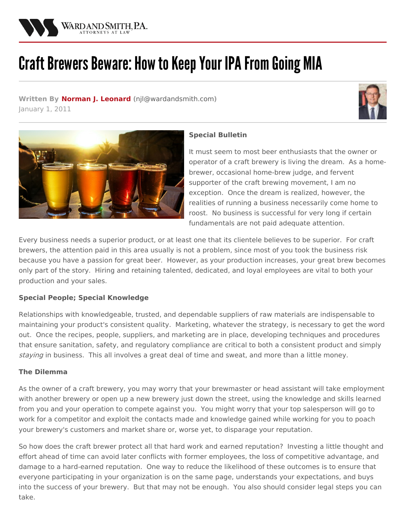

# Craft Brewers Beware: How to Keep Your IPA From Going MIA

**Written By Norman J. [Leonard](/attorneys/norman-leonard) (**[njl@wardandsmith.com](mailto:njl@wardandsmith.com)**)** January 1, 2011





## **Special Bulletin**

It must seem to most beer enthusiasts that the owner or operator of a craft brewery is living the dream. As a homebrewer, occasional home-brew judge, and fervent supporter of the craft brewing movement, I am no exception. Once the dream is realized, however, the realities of running a business necessarily come home to roost. No business is successful for very long if certain fundamentals are not paid adequate attention.

Every business needs a superior product, or at least one that its clientele believes to be superior. For craft brewers, the attention paid in this area usually is not a problem, since most of you took the business risk because you have a passion for great beer. However, as your production increases, your great brew becomes only part of the story. Hiring and retaining talented, dedicated, and loyal employees are vital to both your production and your sales.

## **Special People; Special Knowledge**

Relationships with knowledgeable, trusted, and dependable suppliers of raw materials are indispensable to maintaining your product's consistent quality. Marketing, whatever the strategy, is necessary to get the word out. Once the recipes, people, suppliers, and marketing are in place, developing techniques and procedures that ensure sanitation, safety, and regulatory compliance are critical to both a consistent product and simply staying in business. This all involves a great deal of time and sweat, and more than a little money.

## **The Dilemma**

As the owner of a craft brewery, you may worry that your brewmaster or head assistant will take employment with another brewery or open up a new brewery just down the street, using the knowledge and skills learned from you and your operation to compete against you. You might worry that your top salesperson will go to work for a competitor and exploit the contacts made and knowledge gained while working for you to poach your brewery's customers and market share or, worse yet, to disparage your reputation.

So how does the craft brewer protect all that hard work and earned reputation? Investing a little thought and effort ahead of time can avoid later conflicts with former employees, the loss of competitive advantage, and damage to a hard-earned reputation. One way to reduce the likelihood of these outcomes is to ensure that everyone participating in your organization is on the same page, understands your expectations, and buys into the success of your brewery. But that may not be enough. You also should consider legal steps you can take.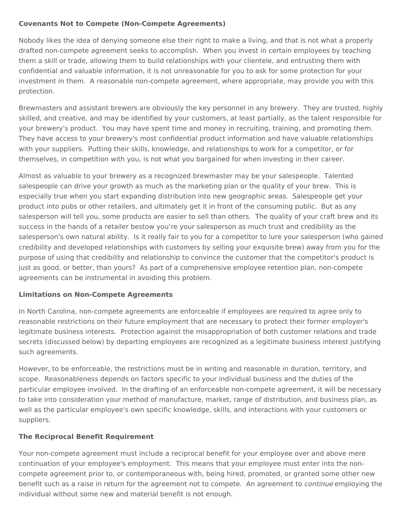#### **Covenants Not to Compete (Non-Compete Agreements)**

Nobody likes the idea of denying someone else their right to make a living, and that is not what a properly drafted non-compete agreement seeks to accomplish. When you invest in certain employees by teaching them a skill or trade, allowing them to build relationships with your clientele, and entrusting them with confidential and valuable information, it is not unreasonable for you to ask for some protection for your investment in them. A reasonable non-compete agreement, where appropriate, may provide you with this protection.

Brewmasters and assistant brewers are obviously the key personnel in any brewery. They are trusted, highly skilled, and creative, and may be identified by your customers, at least partially, as the talent responsible for your brewery's product. You may have spent time and money in recruiting, training, and promoting them. They have access to your brewery's most confidential product information and have valuable relationships with your suppliers. Putting their skills, knowledge, and relationships to work for a competitor, or for themselves, in competition with you, is not what you bargained for when investing in their career.

Almost as valuable to your brewery as a recognized brewmaster may be your salespeople. Talented salespeople can drive your growth as much as the marketing plan or the quality of your brew. This is especially true when you start expanding distribution into new geographic areas. Salespeople get your product into pubs or other retailers, and ultimately get it in front of the consuming public. But as any salesperson will tell you, some products are easier to sell than others. The quality of your craft brew and its success in the hands of a retailer bestow you're your salesperson as much trust and credibility as the salesperson's own natural ability. Is it really fair to you for a competitor to lure your salesperson (who gained credibility and developed relationships with customers by selling your exquisite brew) away from you for the purpose of using that credibility and relationship to convince the customer that the competitor's product is just as good, or better, than yours? As part of a comprehensive employee retention plan, non-compete agreements can be instrumental in avoiding this problem.

## **Limitations on Non-Compete Agreements**

In North Carolina, non-compete agreements are enforceable if employees are required to agree only to reasonable restrictions on their future employment that are necessary to protect their former employer's legitimate business interests. Protection against the misappropriation of both customer relations and trade secrets (discussed below) by departing employees are recognized as a legitimate business interest justifying such agreements.

However, to be enforceable, the restrictions must be in writing and reasonable in duration, territory, and scope. Reasonableness depends on factors specific to your individual business and the duties of the particular employee involved. In the drafting of an enforceable non-compete agreement, it will be necessary to take into consideration your method of manufacture, market, range of distribution, and business plan, as well as the particular employee's own specific knowledge, skills, and interactions with your customers or suppliers.

## **The Reciprocal Benefit Requirement**

Your non-compete agreement must include a reciprocal benefit for your employee over and above mere continuation of your employee's employment. This means that your employee must enter into the noncompete agreement prior to, or contemporaneous with, being hired, promoted, or granted some other new benefit such as a raise in return for the agreement not to compete. An agreement to *continue* employing the individual without some new and material benefit is not enough.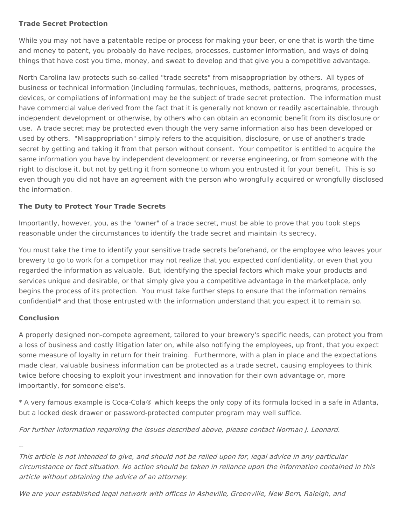#### **Trade Secret Protection**

While you may not have a patentable recipe or process for making your beer, or one that is worth the time and money to patent, you probably do have recipes, processes, customer information, and ways of doing things that have cost you time, money, and sweat to develop and that give you a competitive advantage.

North Carolina law protects such so-called "trade secrets" from misappropriation by others. All types of business or technical information (including formulas, techniques, methods, patterns, programs, processes, devices, or compilations of information) may be the subject of trade secret protection. The information must have commercial value derived from the fact that it is generally not known or readily ascertainable, through independent development or otherwise, by others who can obtain an economic benefit from its disclosure or use. A trade secret may be protected even though the very same information also has been developed or used by others. "Misappropriation" simply refers to the acquisition, disclosure, or use of another's trade secret by getting and taking it from that person without consent. Your competitor is entitled to acquire the same information you have by independent development or reverse engineering, or from someone with the right to disclose it, but not by getting it from someone to whom you entrusted it for your benefit. This is so even though you did not have an agreement with the person who wrongfully acquired or wrongfully disclosed the information.

## **The Duty to Protect Your Trade Secrets**

Importantly, however, you, as the "owner" of a trade secret, must be able to prove that you took steps reasonable under the circumstances to identify the trade secret and maintain its secrecy.

You must take the time to identify your sensitive trade secrets beforehand, or the employee who leaves your brewery to go to work for a competitor may not realize that you expected confidentiality, or even that you regarded the information as valuable. But, identifying the special factors which make your products and services unique and desirable, or that simply give you a competitive advantage in the marketplace, only begins the process of its protection. You must take further steps to ensure that the information remains confidential\* and that those entrusted with the information understand that you expect it to remain so.

## **Conclusion**

A properly designed non-compete agreement, tailored to your brewery's specific needs, can protect you from a loss of business and costly litigation later on, while also notifying the employees, up front, that you expect some measure of loyalty in return for their training. Furthermore, with a plan in place and the expectations made clear, valuable business information can be protected as a trade secret, causing employees to think twice before choosing to exploit your investment and innovation for their own advantage or, more importantly, for someone else's.

\* A very famous example is Coca-Cola® which keeps the only copy of its formula locked in a safe in Atlanta, but a locked desk drawer or password-protected computer program may well suffice.

For further information regarding the issues described above, please contact Norman J. [Leonard](/attorneys/norman-j-leonard).

--

This article is not intended to give, and should not be relied upon for, legal advice in any particular circumstance or fact situation. No action should be taken in reliance upon the information contained in this article without obtaining the advice of an attorney.

We are your established legal network with offices in [Asheville](/locations/asheville), [Greenville](/locations/greenville), New [Bern](/locations/new-bern), [Raleigh](/locations/raleigh), and